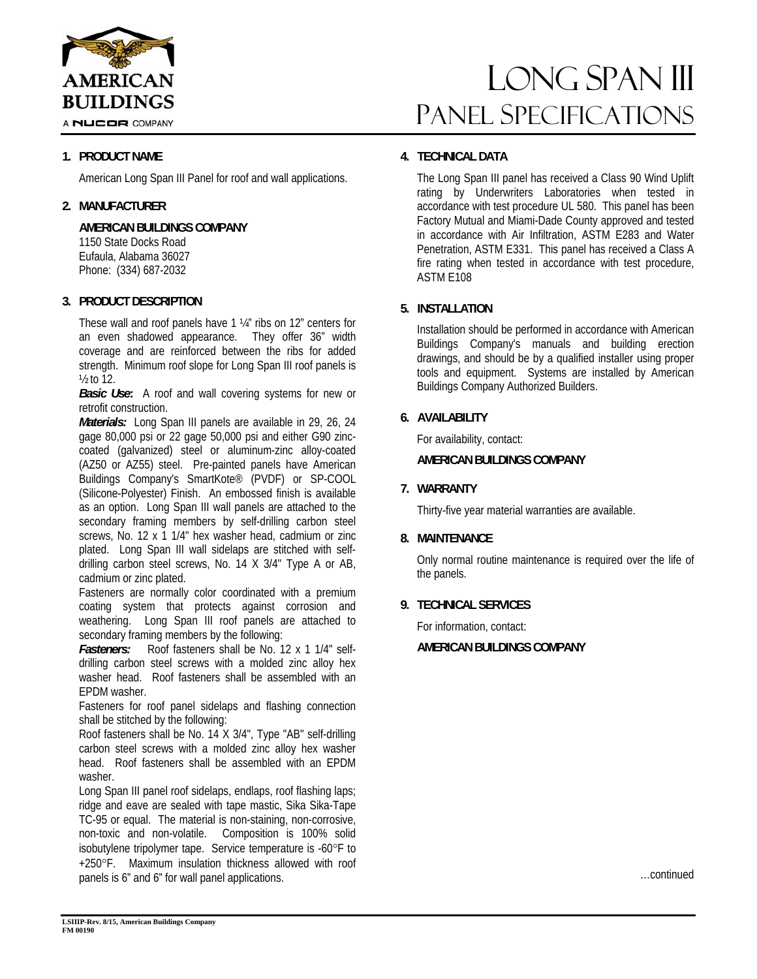

A NUCOR COMPANY

# **1. PRODUCT NAME**

American Long Span III Panel for roof and wall applications.

# **2. MANUFACTURER**

**AMERICAN BUILDINGS COMPANY**  1150 State Docks Road

Eufaula, Alabama 36027 Phone: (334) 687-2032

# **3. PRODUCT DESCRIPTION**

These wall and roof panels have 1 ¼" ribs on 12" centers for an even shadowed appearance. They offer 36" width coverage and are reinforced between the ribs for added strength. Minimum roof slope for Long Span III roof panels is ½ to 12.

*Basic Use***:** A roof and wall covering systems for new or retrofit construction.

*Materials:* Long Span III panels are available in 29, 26, 24 gage 80,000 psi or 22 gage 50,000 psi and either G90 zinccoated (galvanized) steel or aluminum-zinc alloy-coated (AZ50 or AZ55) steel. Pre-painted panels have American Buildings Company's SmartKote® (PVDF) or SP-COOL (Silicone-Polyester) Finish. An embossed finish is available as an option. Long Span III wall panels are attached to the secondary framing members by self-drilling carbon steel screws, No. 12 x 1 1/4" hex washer head, cadmium or zinc plated. Long Span III wall sidelaps are stitched with selfdrilling carbon steel screws, No. 14 X 3/4" Type A or AB, cadmium or zinc plated.

Fasteners are normally color coordinated with a premium coating system that protects against corrosion and weathering. Long Span III roof panels are attached to secondary framing members by the following:

*Fasteners:* Roof fasteners shall be No. 12 x 1 1/4" selfdrilling carbon steel screws with a molded zinc alloy hex washer head. Roof fasteners shall be assembled with an EPDM washer.

Fasteners for roof panel sidelaps and flashing connection shall be stitched by the following:

Roof fasteners shall be No. 14 X 3/4", Type "AB" self-drilling carbon steel screws with a molded zinc alloy hex washer head. Roof fasteners shall be assembled with an EPDM washer.

Long Span III panel roof sidelaps, endlaps, roof flashing laps; ridge and eave are sealed with tape mastic, Sika Sika-Tape TC-95 or equal. The material is non-staining, non-corrosive, non-toxic and non-volatile. Composition is 100% solid isobutylene tripolymer tape. Service temperature is -60°F to +250F. Maximum insulation thickness allowed with roof panels is 6" and 6" for wall panel applications.

# LONG SPAN III Panel Specifications

# **4. TECHNICAL DATA**

The Long Span III panel has received a Class 90 Wind Uplift rating by Underwriters Laboratories when tested in accordance with test procedure UL 580. This panel has been Factory Mutual and Miami-Dade County approved and tested in accordance with Air Infiltration, ASTM E283 and Water Penetration, ASTM E331. This panel has received a Class A fire rating when tested in accordance with test procedure, ASTM E108

# **5. INSTALLATION**

Installation should be performed in accordance with American Buildings Company's manuals and building erection drawings, and should be by a qualified installer using proper tools and equipment. Systems are installed by American Buildings Company Authorized Builders.

# **6. AVAILABILITY**

For availability, contact:

### **AMERICAN BUILDINGS COMPANY**

# **7. WARRANTY**

Thirty-five year material warranties are available.

### **8. MAINTENANCE**

Only normal routine maintenance is required over the life of the panels.

# **9. TECHNICAL SERVICES**

For information, contact:

**AMERICAN BUILDINGS COMPANY**